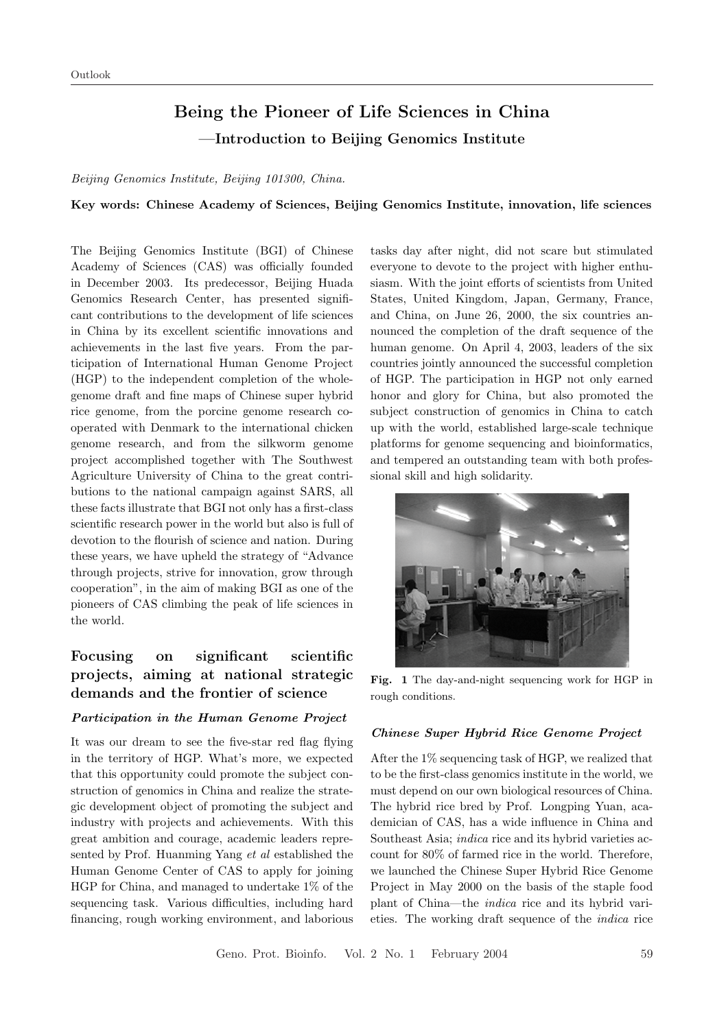# Being the Pioneer of Life Sciences in China —Introduction to Beijing Genomics Institute

#### Beijing Genomics Institute, Beijing 101300, China.

### Key words: Chinese Academy of Sciences, Beijing Genomics Institute, innovation, life sciences

The Beijing Genomics Institute (BGI) of Chinese Academy of Sciences (CAS) was officially founded in December 2003. Its predecessor, Beijing Huada Genomics Research Center, has presented significant contributions to the development of life sciences in China by its excellent scientific innovations and achievements in the last five years. From the participation of International Human Genome Project (HGP) to the independent completion of the wholegenome draft and fine maps of Chinese super hybrid rice genome, from the porcine genome research cooperated with Denmark to the international chicken genome research, and from the silkworm genome project accomplished together with The Southwest Agriculture University of China to the great contributions to the national campaign against SARS, all these facts illustrate that BGI not only has a first-class scientific research power in the world but also is full of devotion to the flourish of science and nation. During these years, we have upheld the strategy of "Advance through projects, strive for innovation, grow through cooperation", in the aim of making BGI as one of the pioneers of CAS climbing the peak of life sciences in the world.

### Focusing on significant scientific projects, aiming at national strategic demands and the frontier of science

### Participation in the Human Genome Project

It was our dream to see the five-star red flag flying in the territory of HGP. What's more, we expected that this opportunity could promote the subject construction of genomics in China and realize the strategic development object of promoting the subject and industry with projects and achievements. With this great ambition and courage, academic leaders represented by Prof. Huanming Yang et al established the Human Genome Center of CAS to apply for joining HGP for China, and managed to undertake 1% of the sequencing task. Various difficulties, including hard financing, rough working environment, and laborious

tasks day after night, did not scare but stimulated everyone to devote to the project with higher enthusiasm. With the joint efforts of scientists from United States, United Kingdom, Japan, Germany, France, and China, on June 26, 2000, the six countries announced the completion of the draft sequence of the human genome. On April 4, 2003, leaders of the six countries jointly announced the successful completion of HGP. The participation in HGP not only earned honor and glory for China, but also promoted the subject construction of genomics in China to catch up with the world, established large-scale technique platforms for genome sequencing and bioinformatics, and tempered an outstanding team with both professional skill and high solidarity.



Fig. 1 The day-and-night sequencing work for HGP in rough conditions.

### Chinese Super Hybrid Rice Genome Project

After the 1% sequencing task of HGP, we realized that to be the first-class genomics institute in the world, we must depend on our own biological resources of China. The hybrid rice bred by Prof. Longping Yuan, academician of CAS, has a wide influence in China and Southeast Asia; indica rice and its hybrid varieties account for 80% of farmed rice in the world. Therefore, we launched the Chinese Super Hybrid Rice Genome Project in May 2000 on the basis of the staple food plant of China—the indica rice and its hybrid varieties. The working draft sequence of the indica rice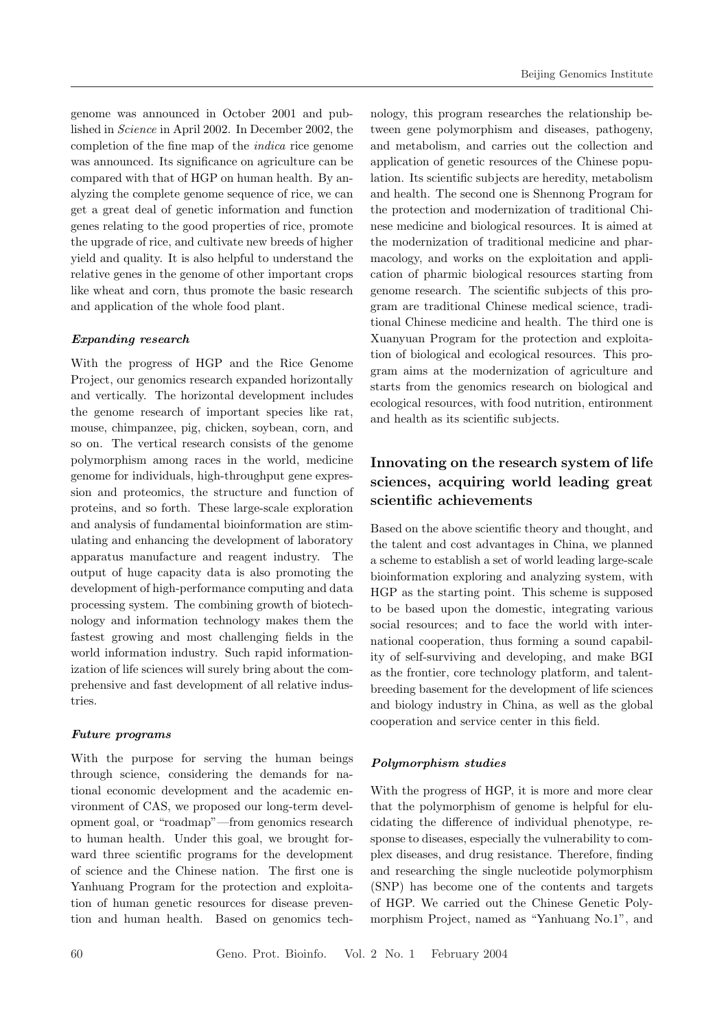genome was announced in October 2001 and published in Science in April 2002. In December 2002, the completion of the fine map of the indica rice genome was announced. Its significance on agriculture can be compared with that of HGP on human health. By analyzing the complete genome sequence of rice, we can get a great deal of genetic information and function genes relating to the good properties of rice, promote the upgrade of rice, and cultivate new breeds of higher yield and quality. It is also helpful to understand the relative genes in the genome of other important crops like wheat and corn, thus promote the basic research and application of the whole food plant.

### Expanding research

With the progress of HGP and the Rice Genome Project, our genomics research expanded horizontally and vertically. The horizontal development includes the genome research of important species like rat, mouse, chimpanzee, pig, chicken, soybean, corn, and so on. The vertical research consists of the genome polymorphism among races in the world, medicine genome for individuals, high-throughput gene expression and proteomics, the structure and function of proteins, and so forth. These large-scale exploration and analysis of fundamental bioinformation are stimulating and enhancing the development of laboratory apparatus manufacture and reagent industry. The output of huge capacity data is also promoting the development of high-performance computing and data processing system. The combining growth of biotechnology and information technology makes them the fastest growing and most challenging fields in the world information industry. Such rapid informationization of life sciences will surely bring about the comprehensive and fast development of all relative industries.

### Future programs

With the purpose for serving the human beings through science, considering the demands for national economic development and the academic environment of CAS, we proposed our long-term development goal, or "roadmap"—from genomics research to human health. Under this goal, we brought forward three scientific programs for the development of science and the Chinese nation. The first one is Yanhuang Program for the protection and exploitation of human genetic resources for disease prevention and human health. Based on genomics technology, this program researches the relationship between gene polymorphism and diseases, pathogeny, and metabolism, and carries out the collection and application of genetic resources of the Chinese population. Its scientific subjects are heredity, metabolism and health. The second one is Shennong Program for the protection and modernization of traditional Chinese medicine and biological resources. It is aimed at the modernization of traditional medicine and pharmacology, and works on the exploitation and application of pharmic biological resources starting from genome research. The scientific subjects of this program are traditional Chinese medical science, traditional Chinese medicine and health. The third one is Xuanyuan Program for the protection and exploitation of biological and ecological resources. This program aims at the modernization of agriculture and starts from the genomics research on biological and ecological resources, with food nutrition, entironment and health as its scientific subjects.

### Innovating on the research system of life sciences, acquiring world leading great scientific achievements

Based on the above scientific theory and thought, and the talent and cost advantages in China, we planned a scheme to establish a set of world leading large-scale bioinformation exploring and analyzing system, with HGP as the starting point. This scheme is supposed to be based upon the domestic, integrating various social resources; and to face the world with international cooperation, thus forming a sound capability of self-surviving and developing, and make BGI as the frontier, core technology platform, and talentbreeding basement for the development of life sciences and biology industry in China, as well as the global cooperation and service center in this field.

### Polymorphism studies

With the progress of HGP, it is more and more clear that the polymorphism of genome is helpful for elucidating the difference of individual phenotype, response to diseases, especially the vulnerability to complex diseases, and drug resistance. Therefore, finding and researching the single nucleotide polymorphism (SNP) has become one of the contents and targets of HGP. We carried out the Chinese Genetic Polymorphism Project, named as "Yanhuang No.1", and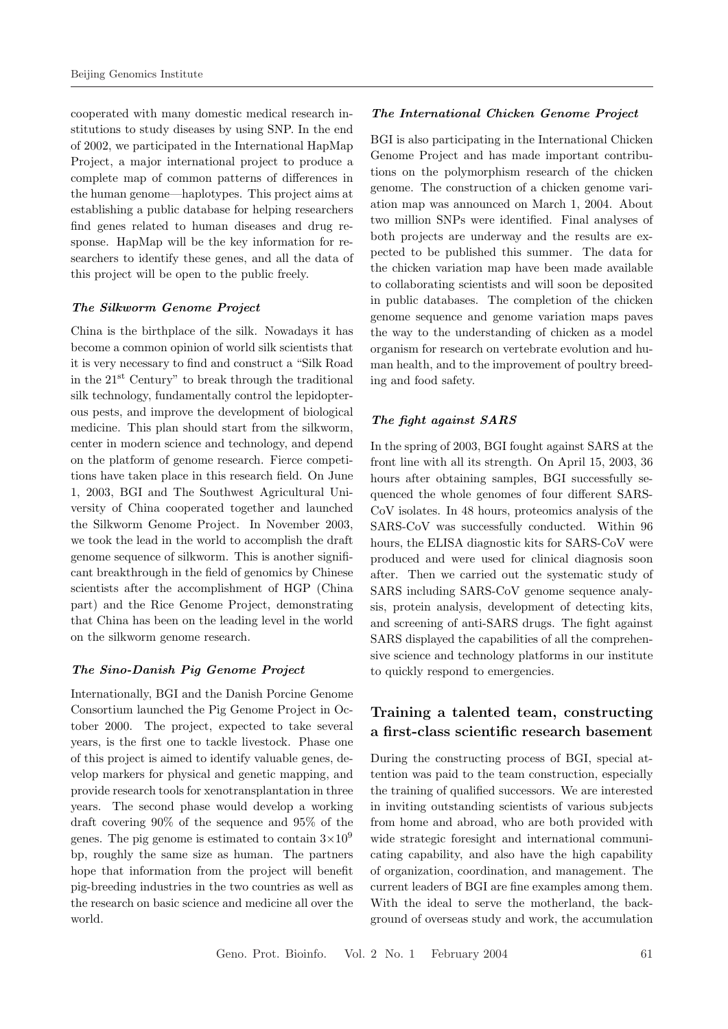cooperated with many domestic medical research institutions to study diseases by using SNP. In the end of 2002, we participated in the International HapMap Project, a major international project to produce a complete map of common patterns of differences in the human genome—haplotypes. This project aims at establishing a public database for helping researchers find genes related to human diseases and drug response. HapMap will be the key information for researchers to identify these genes, and all the data of this project will be open to the public freely.

#### The Silkworm Genome Project

China is the birthplace of the silk. Nowadays it has become a common opinion of world silk scientists that it is very necessary to find and construct a "Silk Road in the 21st Century" to break through the traditional silk technology, fundamentally control the lepidopterous pests, and improve the development of biological medicine. This plan should start from the silkworm, center in modern science and technology, and depend on the platform of genome research. Fierce competitions have taken place in this research field. On June 1, 2003, BGI and The Southwest Agricultural University of China cooperated together and launched the Silkworm Genome Project. In November 2003, we took the lead in the world to accomplish the draft genome sequence of silkworm. This is another significant breakthrough in the field of genomics by Chinese scientists after the accomplishment of HGP (China part) and the Rice Genome Project, demonstrating that China has been on the leading level in the world on the silkworm genome research.

### The Sino-Danish Pig Genome Project

Internationally, BGI and the Danish Porcine Genome Consortium launched the Pig Genome Project in October 2000. The project, expected to take several years, is the first one to tackle livestock. Phase one of this project is aimed to identify valuable genes, develop markers for physical and genetic mapping, and provide research tools for xenotransplantation in three years. The second phase would develop a working draft covering 90% of the sequence and 95% of the genes. The pig genome is estimated to contain  $3\times10^9$ bp, roughly the same size as human. The partners hope that information from the project will benefit pig-breeding industries in the two countries as well as the research on basic science and medicine all over the world.

### The International Chicken Genome Project

BGI is also participating in the International Chicken Genome Project and has made important contributions on the polymorphism research of the chicken genome. The construction of a chicken genome variation map was announced on March 1, 2004. About two million SNPs were identified. Final analyses of both projects are underway and the results are expected to be published this summer. The data for the chicken variation map have been made available to collaborating scientists and will soon be deposited in public databases. The completion of the chicken genome sequence and genome variation maps paves the way to the understanding of chicken as a model organism for research on vertebrate evolution and human health, and to the improvement of poultry breeding and food safety.

#### The fight against SARS

In the spring of 2003, BGI fought against SARS at the front line with all its strength. On April 15, 2003, 36 hours after obtaining samples, BGI successfully sequenced the whole genomes of four different SARS-CoV isolates. In 48 hours, proteomics analysis of the SARS-CoV was successfully conducted. Within 96 hours, the ELISA diagnostic kits for SARS-CoV were produced and were used for clinical diagnosis soon after. Then we carried out the systematic study of SARS including SARS-CoV genome sequence analysis, protein analysis, development of detecting kits, and screening of anti-SARS drugs. The fight against SARS displayed the capabilities of all the comprehensive science and technology platforms in our institute to quickly respond to emergencies.

### Training a talented team, constructing a first-class scientific research basement

During the constructing process of BGI, special attention was paid to the team construction, especially the training of qualified successors. We are interested in inviting outstanding scientists of various subjects from home and abroad, who are both provided with wide strategic foresight and international communicating capability, and also have the high capability of organization, coordination, and management. The current leaders of BGI are fine examples among them. With the ideal to serve the motherland, the background of overseas study and work, the accumulation

Geno. Prot. Bioinfo. Vol. 2 No. 1 February 2004 61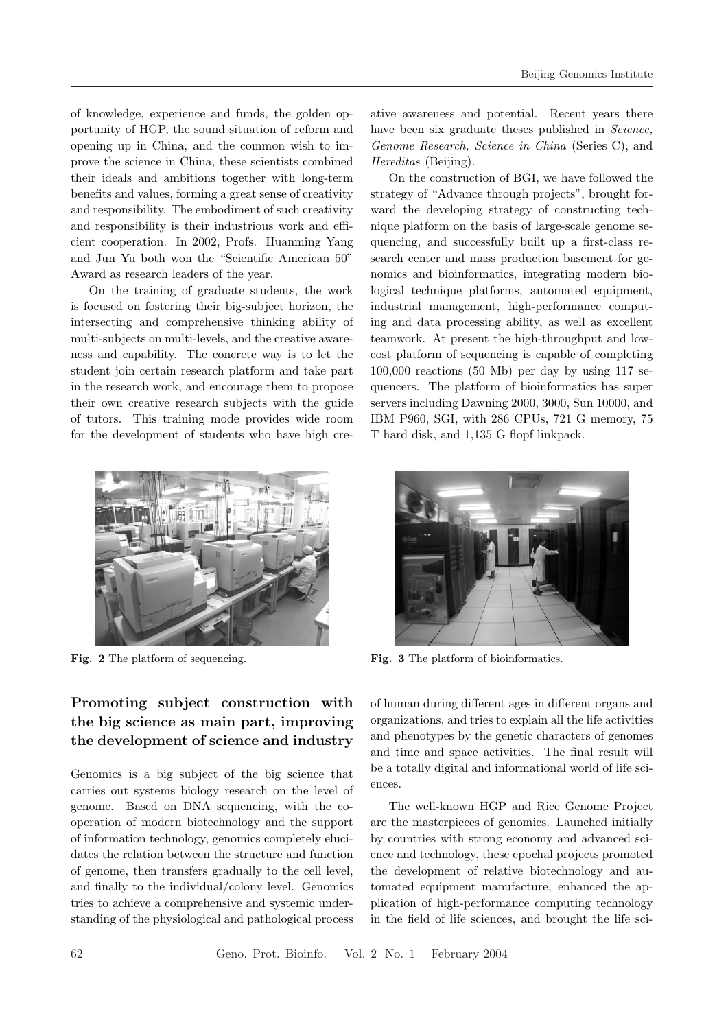of knowledge, experience and funds, the golden opportunity of HGP, the sound situation of reform and opening up in China, and the common wish to improve the science in China, these scientists combined their ideals and ambitions together with long-term benefits and values, forming a great sense of creativity and responsibility. The embodiment of such creativity and responsibility is their industrious work and efficient cooperation. In 2002, Profs. Huanming Yang and Jun Yu both won the "Scientific American 50" Award as research leaders of the year.

On the training of graduate students, the work is focused on fostering their big-subject horizon, the intersecting and comprehensive thinking ability of multi-subjects on multi-levels, and the creative awareness and capability. The concrete way is to let the student join certain research platform and take part in the research work, and encourage them to propose their own creative research subjects with the guide of tutors. This training mode provides wide room for the development of students who have high cre-

ative awareness and potential. Recent years there have been six graduate theses published in *Science*, Genome Research, Science in China (Series C), and Hereditas (Beijing).

On the construction of BGI, we have followed the strategy of "Advance through projects", brought forward the developing strategy of constructing technique platform on the basis of large-scale genome sequencing, and successfully built up a first-class research center and mass production basement for genomics and bioinformatics, integrating modern biological technique platforms, automated equipment, industrial management, high-performance computing and data processing ability, as well as excellent teamwork. At present the high-throughput and lowcost platform of sequencing is capable of completing 100,000 reactions (50 Mb) per day by using 117 sequencers. The platform of bioinformatics has super servers including Dawning 2000, 3000, Sun 10000, and IBM P960, SGI, with 286 CPUs, 721 G memory, 75 T hard disk, and 1,135 G flopf linkpack.



## Promoting subject construction with the big science as main part, improving the development of science and industry

Genomics is a big subject of the big science that carries out systems biology research on the level of genome. Based on DNA sequencing, with the cooperation of modern biotechnology and the support of information technology, genomics completely elucidates the relation between the structure and function of genome, then transfers gradually to the cell level, and finally to the individual/colony level. Genomics tries to achieve a comprehensive and systemic understanding of the physiological and pathological process



Fig. 2 The platform of sequencing. Fig. 3 The platform of bioinformatics.

of human during different ages in different organs and organizations, and tries to explain all the life activities and phenotypes by the genetic characters of genomes and time and space activities. The final result will be a totally digital and informational world of life sciences.

The well-known HGP and Rice Genome Project are the masterpieces of genomics. Launched initially by countries with strong economy and advanced science and technology, these epochal projects promoted the development of relative biotechnology and automated equipment manufacture, enhanced the application of high-performance computing technology in the field of life sciences, and brought the life sci